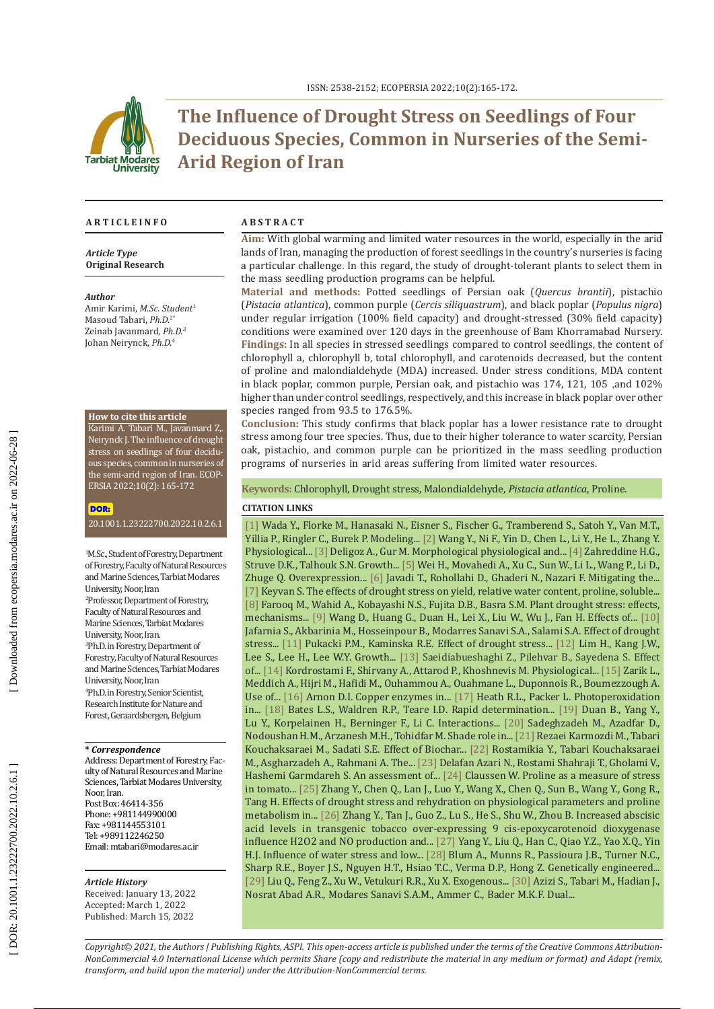

# **The Influence of Drought Stress on Seedlings of Four Deciduous Species, Common in Nurseries of the Semi-Arid Region of Iran**

#### **A R T I C L E I N F O A B S T R A C T**

*Article Type* **Original Research**

#### *Author*

Amir Karimi, *M.Sc. Student* 1 Masoud Tabari, *Ph.D.* 2 \* Zeinab Javanmard, *Ph.D. 3* Johan Neirynck, *Ph.D.* 4

#### **How to cite this article**

Karimi A. Tabari M., Javanmard Z,. Neirynck J. The influence of drought stress on seedlings of four decidu ous species, common in nurseries of the semi-arid region of Iran. ECOP - ERSIA 2022;10(2): 165-172

#### DOR:

[20.1001.1.23222700.2022.10.2.6.1](https://ecopersia.modares.ac.ir/article-24-58450-en.html)

1 M.Sc., Student of Forestry, Department of Forestry, Faculty of Natural Resources and Marine Sciences, Tarbiat Modares University, Noor, Iran 2 Professor, Department of Forestry, Faculty of Natural Resources and Marine Sciences, Tarbiat Modares University, Noor, Iran. 3 Ph.D. in Forestry, Department of Forestry, Faculty of Natural Resources and Marine Sciences, Tarbiat Modares University, Noor, Iran 4 Ph.D. in Forestry, Senior Scientist, Research Institute for Nature and Forest, Geraardsbergen, Belgium

#### **\*** *Correspondence*

Address: Department of Forestry, Fac ulty of Natural Resources and Marine Sciences, Tarbiat Modares University, Noor, Iran. Post Box: 46414-356 Phone: +981144990000 Fax: +981144553101 Tel: +989112246250 Email: [mtabari@modares.ac.ir](mailto:mtabari@modares.ac.ir)

#### *Article History*

Received: January 13, 2022 Accepted: March 1, 2022 Published: March 15, 2022

**Aim:** With global warming and limited water resources in the world, especially in the arid lands of Iran, managing the production of forest seedlings in the country's nurseries is facing a particular challenge . In this regard, the study of drought-tolerant plants to select them in the mass seedling production programs can be helpful.

**Material and methods:** Potted seedlings of Persian oak (*Quercus brantii*), pistachio (*Pistacia atlantica*), common purple (*Cercis siliquastrum*), and black poplar (*Populus nigra*) under regular irrigation (100% field capacity) and drought-stressed (30% field capacity) conditions were examined over 120 days in the greenhouse of Bam Khorramabad Nursery. **Findings:** In all species in stressed seedlings compared to control seedlings, the content of chlorophyll a, chlorophyll b, total chlorophyll, and carotenoids decreased, but the content of proline and malondialdehyde (MDA) increased. Under stress conditions, MDA content in black poplar, common purple, Persian oak, and pistachio was 174, 121, 105 ,and 102% higher than under control seedlings, respectively, and this increase in black poplar over other species ranged from 93.5 to 176.5%.

**Conclusion:** This study confirms that black poplar has a lower resistance rate to drought stress among four tree species. Thus, due to their higher tolerance to water scarcity, Persian oak, pistachio, and common purple can be prioritized in the mass seedling production programs of nurseries in arid areas suffering from limited water resources.

**Keywords:** Chlorophyll, Drought stress, Malondialdehyde, *Pistacia atlantica*, Proline.

### **CITATION LINKS**

[\[1\]](https://gmd.copernicus.org/articles/9/175/2016/gmd-9-175-2016.html) Wada Y., Florke M., Hanasaki N., Eisner S., Fischer G., Tramberend S., Satoh Y., Van M.T., Yillia P., Ringler C., Burek P. Modeling... [\[2\]](https://link.springer.com/article/10.1007/s12042-021-09294-3) Wang Y., Ni F., Yin D., Chen L., Li Y., He L., Zhang Y. Physiological... [\[3\]](https://link.springer.com/article/10.1007/s11738-015-1998-1) Deligoz A., Gur M. Morphological physiological and... [\[4\]](https://www.sciencedirect.com/science/article/abs/pii/S0304423806004675) Zahreddine H.G., Struve D.K., Talhouk S.N. Growth... [\[5\]](https://academic.oup.com/aob/article/125/5/785/5580062?login=true) Wei H., Movahedi A., Xu C., Sun W., Li L., Wang P., Li D., Zhuge Q. Overexpression... [\[6\]](https://www.sciencedirect.com/science/article/abs/pii/S0304423817301048) Javadi T., Rohollahi D., Ghaderi N., Nazari F. Mitigating the... [\[7\]](http://www.m.elewa.org/JAPS/2010/8.3/4.pdf) Keyvan S. The effects of drought stress on yield, relative water content, proline, soluble... [\[8\]](https://link.springer.com/chapter/10.1007/978-90-481-2666-8_12) Farooq M., Wahid A., Kobayashi N.S., Fujita D.B., Basra S.M. Plant drought stress: effects, mechanisms... [9] Wang D., Huang G., Duan H., Lei X., Liu W., Wu J., Fan H. Effects of... [\[10\]](https://www.cabdirect.org/cabdirect/abstract/20193257269) Jafarnia S., Akbarinia M., Hosseinpour B., Modarres Sanavi S.A., Salami S.A. Effect of drought stress... [\[11\]](https://www.proquest.com/openview/6300307e54daabe0120540875194e3b4/1?pq-origsite=gscholar&cbl=326291) Pukacki P.M., Kaminska R.E. Effect of drought stress... [\[12\]](https://www.researchgate.net/publication/325150865_Growth_and_Physiological_Responses_of_Quercus_acutissima_Seedling_under_Drought_Stress) Lim H., Kang J.W., Lee S., Lee H., Lee W.Y. Growth... [\[13\]](https://www.sid.ir/en/Journal/ViewPaper.aspx?ID=827199) Saeidiabueshaghi Z., Pilehvar B., Sayedena S. Effect of... [\[14\]](https://jfwp.ut.ac.ir/article_63671.html?lang=en) Kordrostami F., Shirvany A., Attarod P., Khoshnevis M. Physiological... [\[15\]](https://pubmed.ncbi.nlm.nih.gov/27180108/) Zarik L., Meddich A., Hijri M., Hafidi M., Ouhammou A., Ouahmane L., Duponnois R., Boumezzough A. Use of... [\[16\]](https://academic.oup.com/plphys/article/24/1/1/6076157?login=true) Arnon D.I. Copper enzymes in... [\[17\]](https://pubmed.ncbi.nlm.nih.gov/5655425/\r) Heath R.L., Packer L. Photoperoxidation in... [\[18\]](https://link.springer.com/article/10.1007/BF00018060) Bates L.S., Waldren R.P., Teare I.D. Rapid determination... [\[19\]](https://academic.oup.com/jxb/article/58/11/3025/613623) Duan B., Yang Y., Lu Y., Korpelainen H., Berninger F., Li C. Interactions... [\[20\]](https://www.sid.ir/en/Journal/ViewPaper.aspx?ID=548534) Sadeghzadeh M., Azadfar D., Nodoushan H.M., Arzanesh M.H., Tohidfar M. Shade role in... [\[21\]](https://ecopersia.modares.ac.ir/article-24-54831-en.html) Rezaei Karmozdi M., Tabari Kouchaksaraei M., Sadati S.E. Effect of Biochar... [\[22\]](https://www.sid.ir/en/journal/ViewPaper.aspx?id=570026) Rostamikia Y., Tabari Kouchaksaraei M., Asgharzadeh A., Rahmani A. The... [\[23\]](https://www.sid.ir/en/Journal/ViewPaper.aspx?ID=738769) Delafan Azari N., Rostami Shahraji T., Gholami V., Hashemi Garmdareh S. An assessment of... [\[24\]](https://www.sciencedirect.com/science/article/pii/S0168945204003723#:~:text=It%20was%20concluded%20that%20proline,quality%20of%20hydroponically%20grown%20tomato.) Claussen W. Proline as a measure of stress in tomato... [\[25\]](https://www.cabdirect.org/cabdirect/abstract/20203075219) Zhang Y., Chen Q., Lan J., Luo Y., Wang X., Chen Q., Sun B., Wang Y., Gong R., Tang H. Effects of drought stress and rehydration on physiological parameters and proline metabolism in... [\[26\]](https://pubmed.ncbi.nlm.nih.gov/19183289/) Zhang Y., Tan J., Guo Z., Lu S., He S., Shu W., Zhou B. Increased abscisic acid levels in transgenic tobacco over ‐expressing 9 cis ‐epoxycarotenoid dioxygenase influence H2O2 and NO production and... [\[27\]](https://ps.ueb.cas.cz/pdfs/phs/2007/04/25.pdf) Yang Y., Liu Q., Han C., Qiao Y.Z., Yao X.Q., Yin H.J. Influence of water stress and low... [\[28\]](https://www.ncbi.nlm.nih.gov/pmc/articles/PMC160878/) Blum A., Munns R., Passioura J.B., Turner N.C., Sharp R.E., Boyer J.S., Nguyen H.T., Hsiao T.C., Verma D.P., Hong Z. Genetically engineered... [\[29\]](https://pubag.nal.usda.gov/catalog/7379854) Liu Q., Feng Z., Xu W., Vetukuri R.R., Xu X. Exogenous... [\[30\]]( https://www.sciencedirect.com/science/article/abs/pii/S0378112721005673) Azizi S., Tabari M., Hadian J., Nosrat Abad A.R., Modares Sanavi S.A.M., Ammer C., Bader M.K.F. Dual...

*Copyright© 2021, the Authors | Publishing Rights, ASPI. This open-access article is published under the terms of the Creative Commons Attribution-NonCommercial 4.0 International License which permits Share (copy and redistribute the material in any medium or format) and Adapt (remix, transform, and build upon the material) under the Attribution-NonCommercial terms.*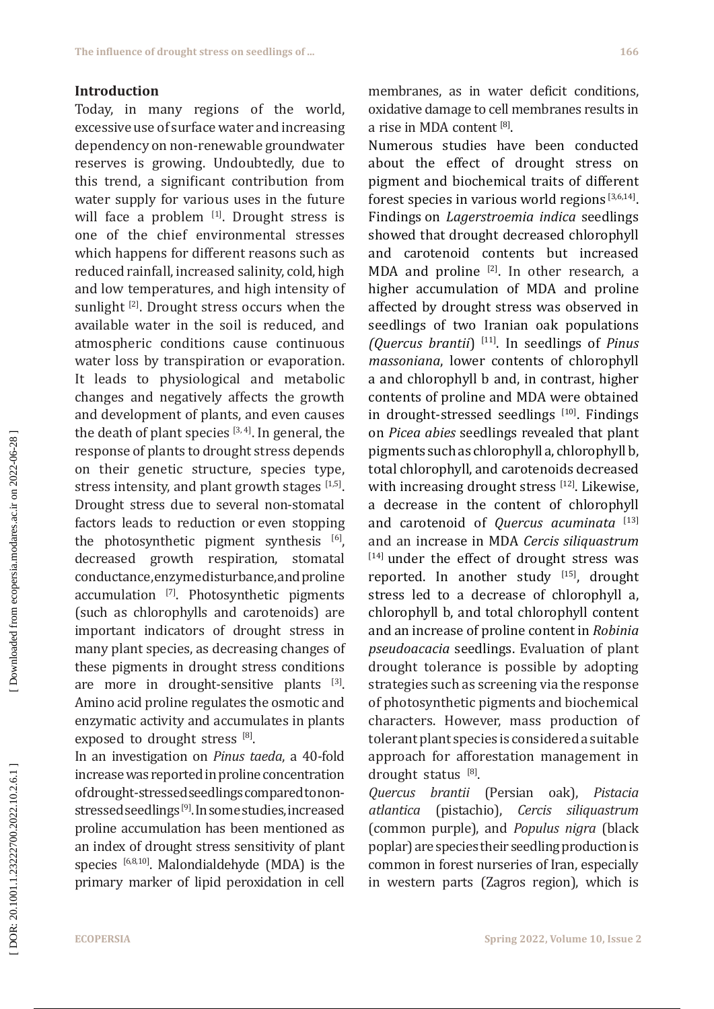## **Introduction**

Today, in many regions of the world, excessive use of surface water and increasing dependency on non-renewable groundwater reserves is growing. Undoubtedly, due to this trend, a significant contribution from water supply for various uses in the future will face a problem [1]. Drought stress is one of the chief environmental stresses which happens for different reasons such as reduced rainfall, increased salinity, cold, high and low temperatures, and high intensity of sunlight [2]. Drought stress occurs when the available water in the soil is reduced, and atmospheric conditions cause continuous water loss by transpiration or evaporation. It leads to physiological and metabolic changes and negatively affects the growth and development of plants, and even causes the death of plant species  $[3, 4]$ . In general, the response of plants to drought stress depends on their genetic structure, species type, stress intensity, and plant growth stages  $[1,5]$ . Drought stress due to several non-stomatal factors leads to reduction or even stopping the photosynthetic pigment synthesis [6], decreased growth respiration, stomatal conductance, enzyme disturbance, and proline accumulation [7]. Photosynthetic pigments (such as chlorophylls and carotenoids) are important indicators of drought stress in many plant species, as decreasing changes of these pigments in drought stress conditions are more in drought-sensitive plants [3]. Amino acid proline regulates the osmotic and enzymatic activity and accumulates in plants exposed to drought stress [8].

In an investigation on *Pinus taeda*, a 40-fold increase was reported in proline concentration of drought-stressed seedlings compared to nonstressed seedlings [9]. In some studies, increased proline accumulation has been mentioned as an index of drought stress sensitivity of plant species [6,8,10]. Malondialdehyde (MDA) is the primary marker of lipid peroxidation in cell membranes, as in water deficit conditions, oxidative damage to cell membranes results in a rise in MDA content <sup>[8]</sup>.

Numerous studies have been conducted about the effect of drought stress on pigment and biochemical traits of different forest species in various world regions  $[3,6,14]$ . Findings on *Lagerstroemia indica* seedlings showed that drought decreased chlorophyll and carotenoid contents but increased MDA and proline  $^{[2]}$ . In other research, a higher accumulation of MDA and proline affected by drought stress was observed in seedlings of two Iranian oak populations *(Quercus brantii*) [11]. In seedlings of *Pinus massoniana*, lower contents of chlorophyll a and chlorophyll b and, in contrast, higher contents of proline and MDA were obtained in drought-stressed seedlings [10]. Findings on *Picea abies* seedlings revealed that plant pigments such as chlorophyll a, chlorophyll b, total chlorophyll, and carotenoids decreased with increasing drought stress [12]. Likewise, a decrease in the content of chlorophyll and carotenoid of *Quercus acuminata* [13] and an increase in MDA *Cercis siliquastrum* [14] under the effect of drought stress was reported. In another study [15], drought stress led to a decrease of chlorophyll a, chlorophyll b, and total chlorophyll content and an increase of proline content in *Robinia pseudoacacia* seedlings. Evaluation of plant drought tolerance is possible by adopting strategies such as screening via the response of photosynthetic pigments and biochemical characters. However, mass production of tolerant plant species is considered a suitable approach for [afforestation](https://onlinelibrary.wiley.com/doi/abs/10.1002/ldr.3377) management in drought status [8].

*Quercus brantii* (Persian oak), *Pistacia atlantica* (pistachio), *Cercis siliquastrum* (common purple), and *Populus nigra* (black poplar) are species their seedling production is common in forest nurseries of Iran, especially in western parts (Zagros region), which is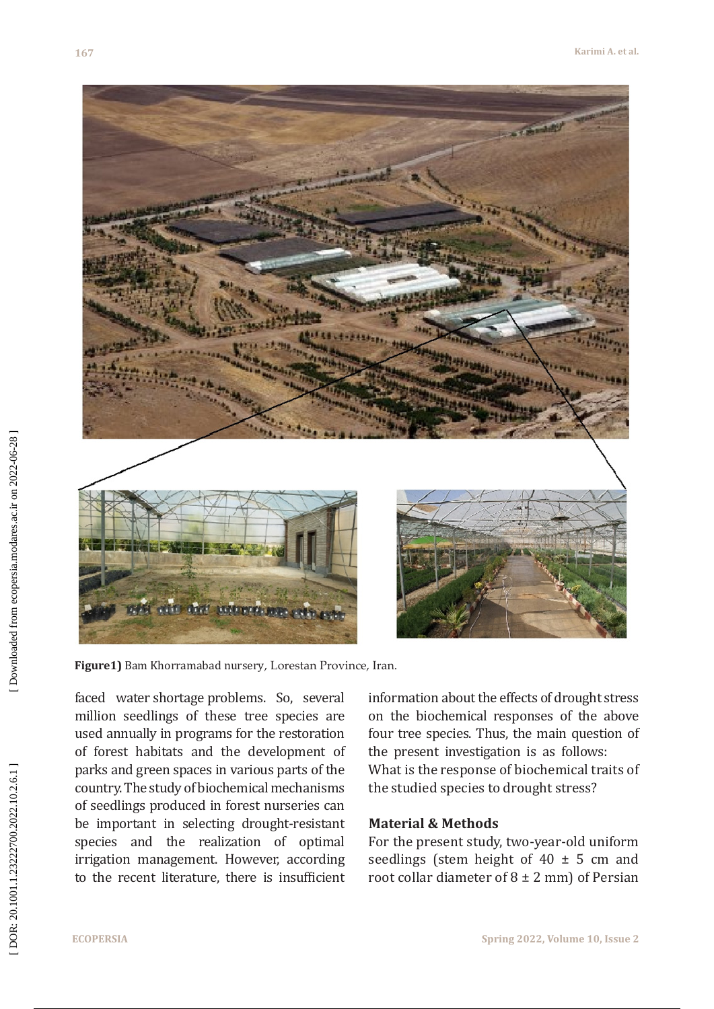

**Figure1)** Bam Khorramabad nursery, Lorestan Province, Iran.

faced water shortage problems. So, several million seedlings of these tree species are used annually in programs for the restoration of forest habitats and the development of parks and green spaces in various parts of the country. The study of biochemical mechanisms of seedlings produced in forest nurseries can be important in selecting drought-resistant species and the realization of optimal irrigation management. However, according to the recent literature, there is insufficient information about the effects of drought stress on the biochemical responses of the above four tree species. Thus, the main question of the present investigation is as follows: What is the response of biochemical traits of the studied species to drought stress?

## **Material & Methods**

For the present study, two-year-old uniform seedlings (stem height of 40 ± 5 cm and root collar diameter of 8 ± 2 mm) of Persian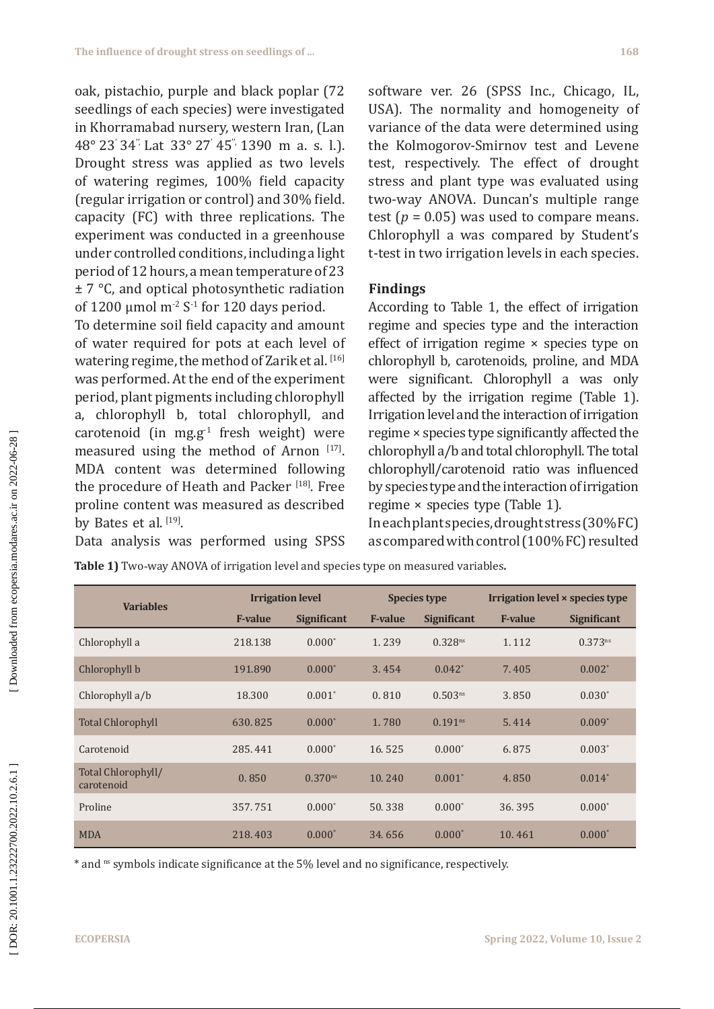oak, pistachio, purple and black poplar (72 seedlings of each species) were investigated in Khorramabad nursery, western Iran, (Lan  $48^{\circ}$  23  $34^{\circ}$  Lat  $33^{\circ}$  27  $45^{\circ}$  1390 m a. s. l.). Drought stress was applied as two levels of watering regimes, 100% field capacity (regular irrigation or control) and 30% field. capacity (FC) with three replications. The experiment was conducted in a greenhouse under controlled conditions, including a light period of 12 hours, a mean temperature of 23 ± 7 °C, and optical photosynthetic radiation of 1200 μmol m<sup>-2</sup> S<sup>-1</sup> for 120 days period.

To determine soil field capacity and amount of water required for pots at each level of watering regime, the method of Zarik et al. [16] was performed. At the end of the experiment period, plant pigments including chlorophyll a, chlorophyll b, total chlorophyll, and carotenoid (in mg.g<sup>-1</sup> fresh weight) were measured using the method of Arnon [17]. MDA content was determined following the procedure of Heath and Packer<sup>[18]</sup>. Free proline content was measured as described by Bates et al.<sup>[19]</sup>.

Data analysis was performed using SPSS

software ver. 26 (SPSS Inc., Chicago, IL, USA). The normality and homogeneity of variance of the data were determined using the Kolmogorov-Smirnov test and Levene test, respectively. The effect of drought stress and plant type was evaluated using two-way ANOVA. Duncan's multiple range test ( $p = 0.05$ ) was used to compare means. Chlorophyll a was compared by Student's t-test in two irrigation levels in each species.

## **Findings**

According to Table 1, the effect of irrigation regime and species type and the interaction effect of irrigation regime × species type on chlorophyll b, carotenoids, proline, and MDA were significant. Chlorophyll a was only affected by the irrigation regime (Table 1). Irrigation level and the interaction of irrigation regime × species type significantly affected the chlorophyll a/b and total chlorophyll. The total chlorophyll/carotenoid ratio was influenced by species type and the interaction of irrigation regime × species type (Table 1).

In each plant species, drought stress (30% FC) as compared with control (100% FC) resulted

**Table 1)** Two -way ANOVA of irrigation level and species type on measured variables *.*

| <b>Variables</b>                 | <b>Irrigation level</b> |                       | <b>Species type</b> |                     | Irrigation level × species type |                    |
|----------------------------------|-------------------------|-----------------------|---------------------|---------------------|---------------------------------|--------------------|
|                                  | <b>F-value</b>          | <b>Significant</b>    | <b>F-value</b>      | <b>Significant</b>  | <b>F-value</b>                  | <b>Significant</b> |
| Chlorophyll a                    | 218.138                 | $0.000*$              | 1.239               | 0.328 <sup>ns</sup> | 1.112                           | $0.373^{ns}$       |
| Chlorophyll b                    | 191.890                 | $0.000*$              | 3.454               | $0.042^*$           | 7.405                           | $0.002^*$          |
| Chlorophyll a/b                  | 18.300                  | $0.001*$              | 0.810               | 0.503 <sup>ns</sup> | 3.850                           | $0.030*$           |
| <b>Total Chlorophyll</b>         | 630.825                 | $0.000*$              | 1.780               | 0.191 <sup>ns</sup> | 5.414                           | $0.009*$           |
| Carotenoid                       | 285.441                 | $0.000*$              | 16.525              | $0.000*$            | 6.875                           | $0.003*$           |
| Total Chlorophyll/<br>carotenoid | 0.850                   | $0.370$ <sup>ns</sup> | 10.240              | $0.001*$            | 4.850                           | $0.014*$           |
| Proline                          | 357.751                 | $0.000*$              | 50.338              | $0.000*$            | 36.395                          | $0.000*$           |
| <b>MDA</b>                       | 218.403                 | $0.000*$              | 34.656              | $0.000*$            | 10.461                          | $0.000*$           |

\* and ns symbols indicate significance at the 5% level and no significance, respectively.

Downloaded from ecopersia.modares.ac.ir on 2022-06-28]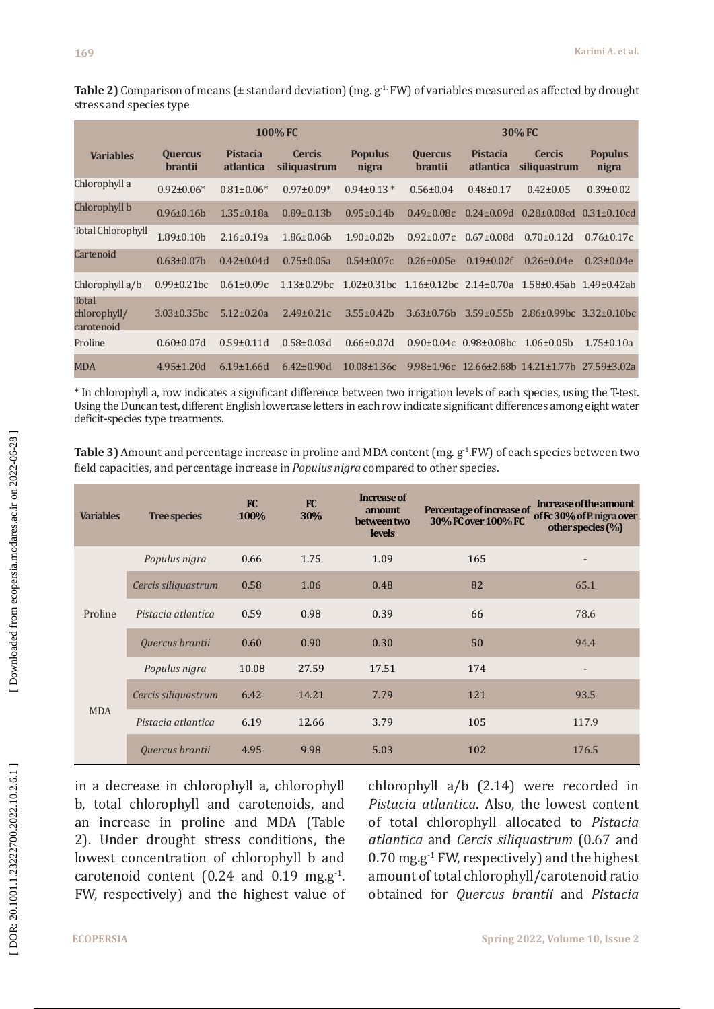**Table 2)** Comparison of means ( $\pm$  standard deviation) (mg.  $g^{-1}$  FW) of variables measured as affected by drought stress and species type

|                                     | <b>100% FC</b>                   |                                     |                               |                         | 30% FC                           |                              |                                                                      |                         |
|-------------------------------------|----------------------------------|-------------------------------------|-------------------------------|-------------------------|----------------------------------|------------------------------|----------------------------------------------------------------------|-------------------------|
| <b>Variables</b>                    | <b>Quercus</b><br><b>brantii</b> | <b>Pistacia</b><br><i>atlantica</i> | <b>Cercis</b><br>siliquastrum | <b>Populus</b><br>nigra | <b>Quercus</b><br><b>brantii</b> | <b>Pistacia</b><br>atlantica | <b>Cercis</b><br>siliquastrum                                        | <b>Populus</b><br>nigra |
| Chlorophyll a                       | $0.92 \pm 0.06*$                 | $0.81 \pm 0.06*$                    | $0.97 \pm 0.09*$              | $0.94\pm0.13*$          | $0.56 \pm 0.04$                  | $0.48 \pm 0.17$              | $0.42 \pm 0.05$                                                      | $0.39 \pm 0.02$         |
| Chlorophyll b                       | $0.96 \pm 0.16 h$                | $1.35 \pm 0.18a$                    | $0.89\pm0.13b$                | $0.95 \pm 0.14$         | $0.49 \pm 0.08c$                 | $0.24 \pm 0.09d$             | $0.28 \pm 0.08$ cd                                                   | $0.31 \pm 0.10$ cd      |
| <b>Total Chlorophyll</b>            | $1.89 \pm 0.10 b$                | $2.16 \pm 0.19a$                    | $1.86 \pm 0.06$               | $1.90 \pm 0.02$         | $0.92 \pm 0.07c$                 | $0.67 \pm 0.08d$             | $0.70 \pm 0.12d$                                                     | $0.76 \pm 0.17c$        |
| Cartenoid                           | $0.63 \pm 0.07 b$                | $0.42 \pm 0.04$ d                   | $0.75 \pm 0.05a$              | $0.54 \pm 0.07c$        | $0.26 \pm 0.05e$                 | $0.19 \pm 0.02$ f            | $0.26 \pm 0.04e$                                                     | $0.23 \pm 0.04e$        |
| Chlorophyll a/b                     | $0.99 \pm 0.21$ bc               | $0.61 \pm 0.09c$                    | $1.13 \pm 0.29$ bc            | $1.02 \pm 0.31$ bc      | $1.16\pm0.12$ bc $2.14\pm0.70$ a |                              | 1.58±0.45ab 1.49±0.42ab                                              |                         |
| Total<br>chlorophyll/<br>carotenoid | $3.03 \pm 0.35$ bc               | $5.12 \pm 0.20a$                    | $2.49 \pm 0.21c$              | $3.55 \pm 0.42$         | $3.63 \pm 0.76$ h                | $3.59 \pm 0.55$ b            | $2.86\pm0.99$ bc $3.32\pm0.10$ bc                                    |                         |
| Proline                             | $0.60 \pm 0.07d$                 | $0.59 \pm 0.11 d$                   | $0.58 \pm 0.03$ d             | $0.66 \pm 0.07$ d       | $0.90 \pm 0.04c$                 | $0.98 \pm 0.08$ bc           | $1.06 \pm 0.05 b$                                                    | $1.75 \pm 0.10a$        |
| <b>MDA</b>                          | $4.95 \pm 1.20$ d                | $6.19 \pm 1.66$ d                   | $6.42 \pm 0.90$ d             | $10.08 \pm 1.36c$       |                                  |                              | $9.98\pm1.96c$ 12.66 $\pm$ 2.68b 14.21 $\pm$ 1.77b 27.59 $\pm$ 3.02a |                         |

\* In chlorophyll a, row indicates a significant difference between two irrigation levels of each species, using the T-test. Using the Duncan test, different English lowercase letters in each row indicate significant differences among eight water deficit-species type treatments.

**Table 3)** Amount and percentage increase in proline and MDA content (mg.  $g^{-1}$ . FW) of each species between two field capacities, and percentage increase in *Populus nigra* compared to other species.

| <b>Variables</b>      | <b>Tree species</b> | FC<br>100% | <b>FC</b><br>30% | Increase of<br>amount<br>between two<br><b>levels</b> | Percentage of increase of<br>30% FC over 100% FC | Increase of the amount<br>of Fc 30% of P. nigra over<br>other species $(\% )$ |
|-----------------------|---------------------|------------|------------------|-------------------------------------------------------|--------------------------------------------------|-------------------------------------------------------------------------------|
| Proline<br><b>MDA</b> | Populus nigra       | 0.66       | 1.75             | 1.09                                                  | 165                                              |                                                                               |
|                       | Cercis siliquastrum | 0.58       | 1.06             | 0.48                                                  | 82                                               | 65.1                                                                          |
|                       | Pistacia atlantica  | 0.59       | 0.98             | 0.39                                                  | 66                                               | 78.6                                                                          |
|                       | Quercus brantii     | 0.60       | 0.90             | 0.30                                                  | 50                                               | 94.4                                                                          |
|                       | Populus nigra       | 10.08      | 27.59            | 17.51                                                 | 174                                              |                                                                               |
|                       | Cercis siliquastrum | 6.42       | 14.21            | 7.79                                                  | 121                                              | 93.5                                                                          |
|                       | Pistacia atlantica  | 6.19       | 12.66            | 3.79                                                  | 105                                              | 117.9                                                                         |
|                       | Quercus brantii     | 4.95       | 9.98             | 5.03                                                  | 102                                              | 176.5                                                                         |

in a decrease in chlorophyll a, chlorophyll b, total chlorophyll and carotenoids, and an increase in proline and MDA (Table 2). Under drought stress conditions, the lowest concentration of chlorophyll b and  $carotenoid content (0.24 and 0.19 mg.g<sup>-1</sup>).$ FW, respectively) and the highest value of

chlorophyll a/b (2.14) were recorded in *Pistacia atlantica*. Also, the lowest content of total chlorophyll allocated to *Pistacia atlantica* and *Cercis siliquastrum* (0.67 and  $0.70$  mg.g<sup>-1</sup> FW, respectively) and the highest amount of total chlorophyll/carotenoid ratio obtained for *Quercus brantii* and *Pistacia*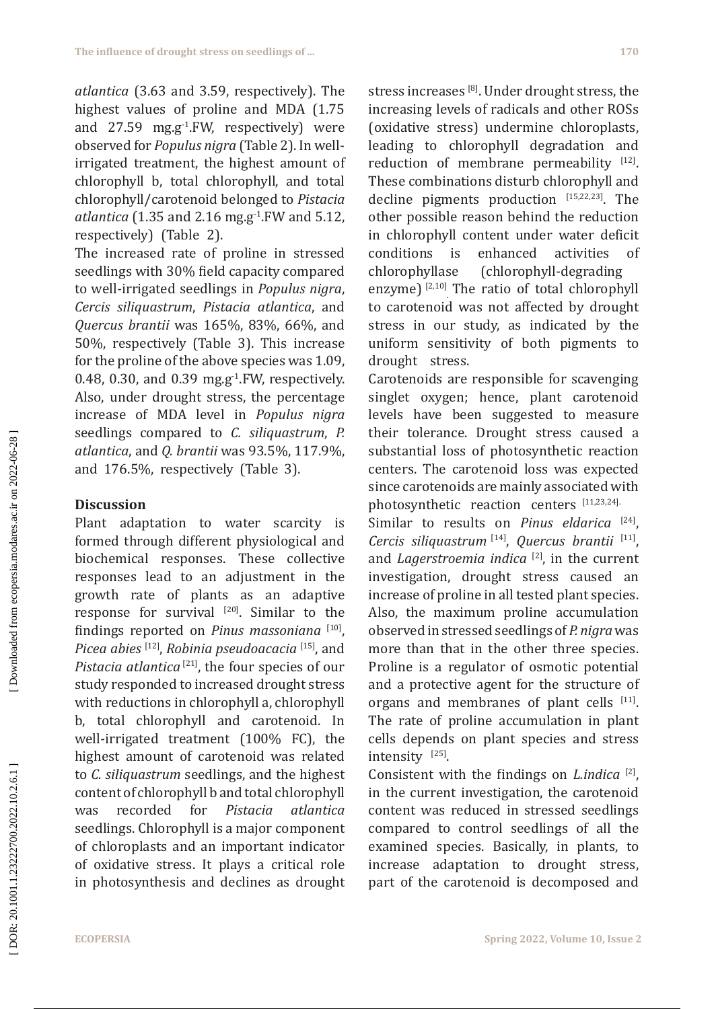*atlantica* (3.63 and 3.59, respectively). The highest values of proline and MDA (1.75 and  $27.59$  mg.g<sup>-1</sup>.FW, respectively) were observed for *Populus nigra* (Table 2). In wellirrigated treatment, the highest amount of chlorophyll b, total chlorophyll, and total chlorophyll/carotenoid belonged to *Pistacia atlantica* (1.35 and 2.16 mg.g-1.FW and 5.12, respectively) (Table 2).

The increased rate of proline in stressed seedlings with 30% field capacity compared to well-irrigated seedlings in *Populus nigra*, *Cercis siliquastrum*, *Pistacia atlantica*, and *Quercus brantii* was 165%, 83%, 66%, and 50%, respectively (Table 3). This increase for the proline of the above species was 1.09, 0.48, 0.30, and 0.39 mg.g $^{-1}$ . FW, respectively. Also, under drought stress, the percentage increase of MDA level in *Populus nigra* seedlings compared to *C. siliquastrum*, *P. atlantica*, and *Q. brantii* was 93.5%, 117.9%, and 176.5%, respectively (Table 3).

## **Discussion**

Plant adaptation to water scarcity is formed through different physiological and biochemical responses. These collective responses lead to an adjustment in the growth rate of plants as an adaptive response for survival  $[20]$ . Similar to the findings reported on *Pinus massoniana* [10], *Picea abies* [12], *Robinia pseudoacacia* [15], and Pistacia atlantica<sup>[21]</sup>, the four species of our study responded to increased drought stress with reductions in chlorophyll a, chlorophyll b, total chlorophyll and carotenoid. In well-irrigated treatment (100% FC), the highest amount of carotenoid was related to *C. siliquastrum* seedlings, and the highest content of chlorophyll b and total chlorophyll<br>was recorded for *Pistacia atlantica* was recorded for *Pistacia atlantica* seedlings. Chlorophyll is a major component of chloroplasts and an important indicator of oxidative stress. It plays a critical role in photosynthesis and declines as drought stress increases [8]. Under drought stress, the increasing levels of radicals and other ROSs (oxidative stress) undermine chloroplasts, leading to chlorophyll degradation and reduction of membrane permeability  $[12]$ . These combinations disturb chlorophyll and decline pigments production  $[15,22,23]$ . The other possible reason behind the reduction in chlorophyll content under water deficit conditions is enhanced activities of<br>chlorophyllase (chlorophyll-degrading (chlorophyll-degrading enzyme)  $\left| \frac{2,10}{1} \right|$  The ratio of total chlorophyll to carotenoid was not affected by drought stress in our study, as indicated by the uniform sensitivity of both pigments to drought stress.

Carotenoids are responsible for scavenging singlet oxygen; hence, plant carotenoid levels have been suggested to measure their tolerance. Drought stress caused a substantial loss of photosynthetic reaction centers. The carotenoid loss was expected since carotenoids are mainly associated with photosynthetic reaction centers [11,23,24].

Similar to results on *Pinus eldarica* [24], *Cercis siliquastrum* [14], *Quercus brantii* [11], and *Lagerstroemia indica* [2], in the current investigation, drought stress caused an increase of proline in all tested plant species. Also, the maximum proline accumulation observed in stressed seedlings of *P. nigra* was more than that in the other three species. Proline is a regulator of osmotic potential and a protective agent for the structure of organs and membranes of plant cells [11]. The rate of proline accumulation in plant cells depends on plant species and stress intensity [25].

Consistent with the findings on *L.indica* [2], in the current investigation, the carotenoid content was reduced in stressed seedlings compared to control seedlings of all the examined species. Basically, in plants, to increase adaptation to drought stress, part of the carotenoid is decomposed and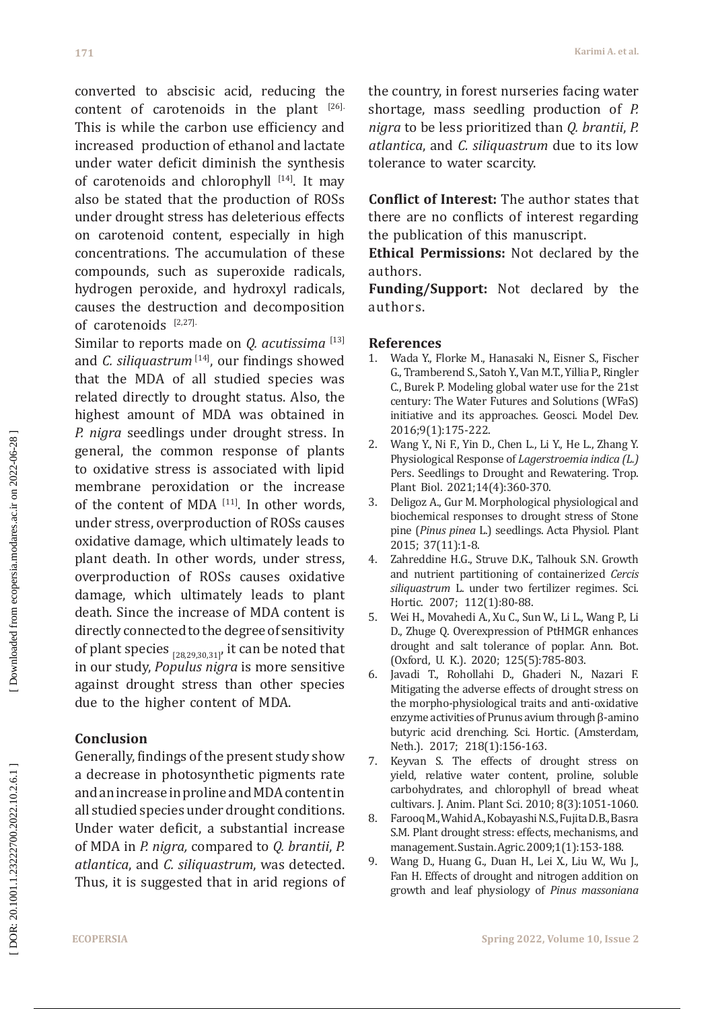converted to abscisic acid, reducing the content of carotenoids in the plant [26]. This is while the [carbon use efficiency](https://www.sciencedirect.com/science/article/pii/S0038071701001018) and increased [production](https://journals.asm.org/doi/abs/10.1128/AEM.05008-11) of ethanol and lactate under water deficit diminish the synthesis of carotenoids and chlorophyll [14]. It may also be stated that the production of ROSs under drought stress has deleterious effects on carotenoid content, especially in high concentrations. The accumulation of these compounds, such as superoxide radicals, hydrogen peroxide, and hydroxyl radicals, causes the destruction and decomposition of carotenoids [2,27].

Similar to reports made on *Q. acutissima*<sup>[13]</sup> and *C. siliquastrum* [14], our findings showed that the MDA of all studied species was related directly to drought status. Also, the highest amount of MDA was obtained in *P. nigra* seedlings under drought stress. In general, the common response of plants to oxidative stress is associated with lipid membrane peroxidation or the increase of the content of MDA [11]. In other words, under stress, overproduction of ROSs causes oxidative damage, which ultimately leads to plant death. In other words, under stress, overproduction of ROSs causes oxidative damage, which ultimately leads to plant death. Since the increase of MDA content is directly connected to the degree of sensitivity of plant species  $_{[28,29,30,31]}$ , it can be noted that in our study, *Populus nigra* is more sensitive against drought stress than other species due to the higher content of MDA.

## **Conclusion**

Generally, findings of the present study show a decrease in photosynthetic pigments rate and an increase in proline and MDA content in all studied species under drought conditions. Under water deficit, a substantial increase of MDA in *P. nigra,* compared to *Q. brantii*, *P. atlantica*, and *C. siliquastrum*, was detected. Thus, it is suggested that in arid regions of the country, in forest nurseries facing water shortage, mass seedling production of *P. nigra* to be less prioritized than *Q. brantii*, *P. atlantica*, and *C. siliquastrum* due to its low tolerance to water scarcity.

**Conflict of Interest:** The author states that there are no conflicts of interest regarding the publication of this manuscript.

**Ethical Permissions:** Not declared by the authors.

**Funding/Support:** Not declared by the authors.

## **References**

- 1. Wada Y., Florke M., Hanasaki N., Eisner S., Fischer G., Tramberend S., Satoh Y., Van M.T., Yillia P., Ringler C., Burek P. Modeling global water use for the 21st century: The Water Futures and Solutions (WFaS) initiative and its approaches. Geosci. Model Dev. 2016;9(1):175-222.
- 2. Wang Y., Ni F., Yin D., Chen L., Li Y., He L., Zhang Y. Physiological Response of *Lagerstroemia indica (L.)* Pers. Seedlings to Drought and Rewatering. Trop. Plant Biol. 2021;14(4):360-370.
- 3. Deligoz A., Gur M. Morphological physiological and biochemical responses to drought stress of Stone pine (*Pinus pinea* L.) seedlings. Acta Physiol. Plant 2015; 37(11):1-8.
- 4. Zahreddine H.G., Struve D.K., Talhouk S.N. Growth and nutrient partitioning of containerized *Cercis siliquastrum* L. under two fertilizer regimes. Sci. Hortic. 2007; 112(1):80-88.
- 5. Wei H., Movahedi A., Xu C., Sun W., Li L., Wang P., Li D., Zhuge Q. Overexpression of PtHMGR enhances drought and salt tolerance of poplar. Ann. Bot. (Oxford, U. K.). 2020; 125(5):785-803.
- 6. Javadi T., Rohollahi D., Ghaderi N., Nazari F. Mitigating the adverse effects of drought stress on the morpho-physiological traits and anti-oxidative enzyme activities of Prunus avium through β-amino butyric acid drenching. Sci. Hortic. (Amsterdam, Neth.). 2017; 218(1):156-163.
- 7. Keyvan S. The effects of drought stress on yield, relative water content, proline, soluble carbohydrates, and chlorophyll of bread wheat cultivars. J. Anim. Plant Sci. 2010; 8(3):1051-1060.
- 8. Farooq M., Wahid A., Kobayashi N.S., Fujita D.B., Basra S.M. Plant drought stress: effects, mechanisms, and management. Sustain. Agric. 2009;1(1):153-188.
- 9. Wang D., Huang G., Duan H., Lei X., Liu W., Wu J., Fan H. Effects of drought and nitrogen addition on growth and leaf physiology of *Pinus massoniana*